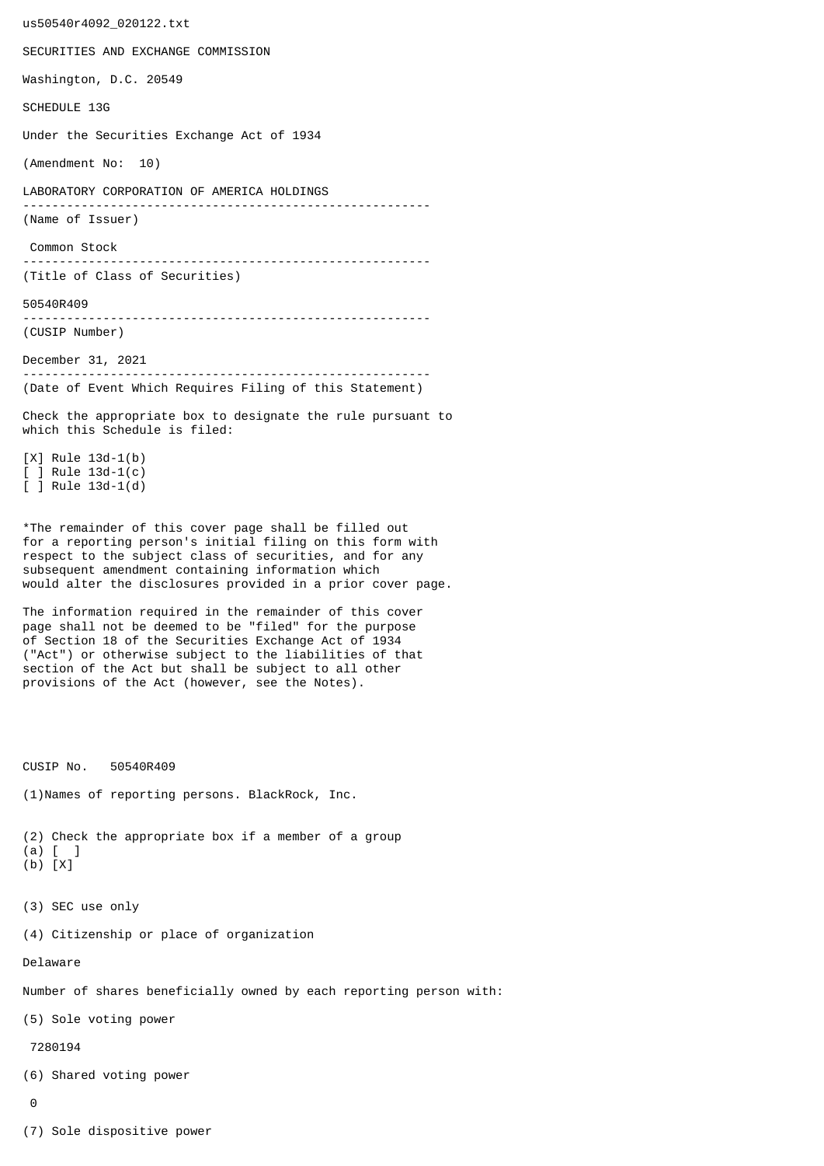us50540r4092\_020122.txt SECURITIES AND EXCHANGE COMMISSION Washington, D.C. 20549 SCHEDULE 13G Under the Securities Exchange Act of 1934 (Amendment No: 10) LABORATORY CORPORATION OF AMERICA HOLDINGS -------------------------------------------------------- (Name of Issuer) Common Stock -------------------------------------------------------- (Title of Class of Securities) 50540R409 -------------------------------------------------------- (CUSIP Number) December 31, 2021 -------------------------------------------------------- (Date of Event Which Requires Filing of this Statement) Check the appropriate box to designate the rule pursuant to which this Schedule is filed: [X] Rule 13d-1(b) [ ] Rule 13d-1(c) [ ] Rule 13d-1(d) \*The remainder of this cover page shall be filled out for a reporting person's initial filing on this form with respect to the subject class of securities, and for any subsequent amendment containing information which would alter the disclosures provided in a prior cover page. The information required in the remainder of this cover page shall not be deemed to be "filed" for the purpose of Section 18 of the Securities Exchange Act of 1934 ("Act") or otherwise subject to the liabilities of that section of the Act but shall be subject to all other provisions of the Act (however, see the Notes). CUSIP No. 50540R409 (1)Names of reporting persons. BlackRock, Inc. (2) Check the appropriate box if a member of a group (a) [ ] (b) [X] (3) SEC use only (4) Citizenship or place of organization Delaware Number of shares beneficially owned by each reporting person with: (5) Sole voting power 7280194 (6) Shared voting power  $\Omega$ 

(7) Sole dispositive power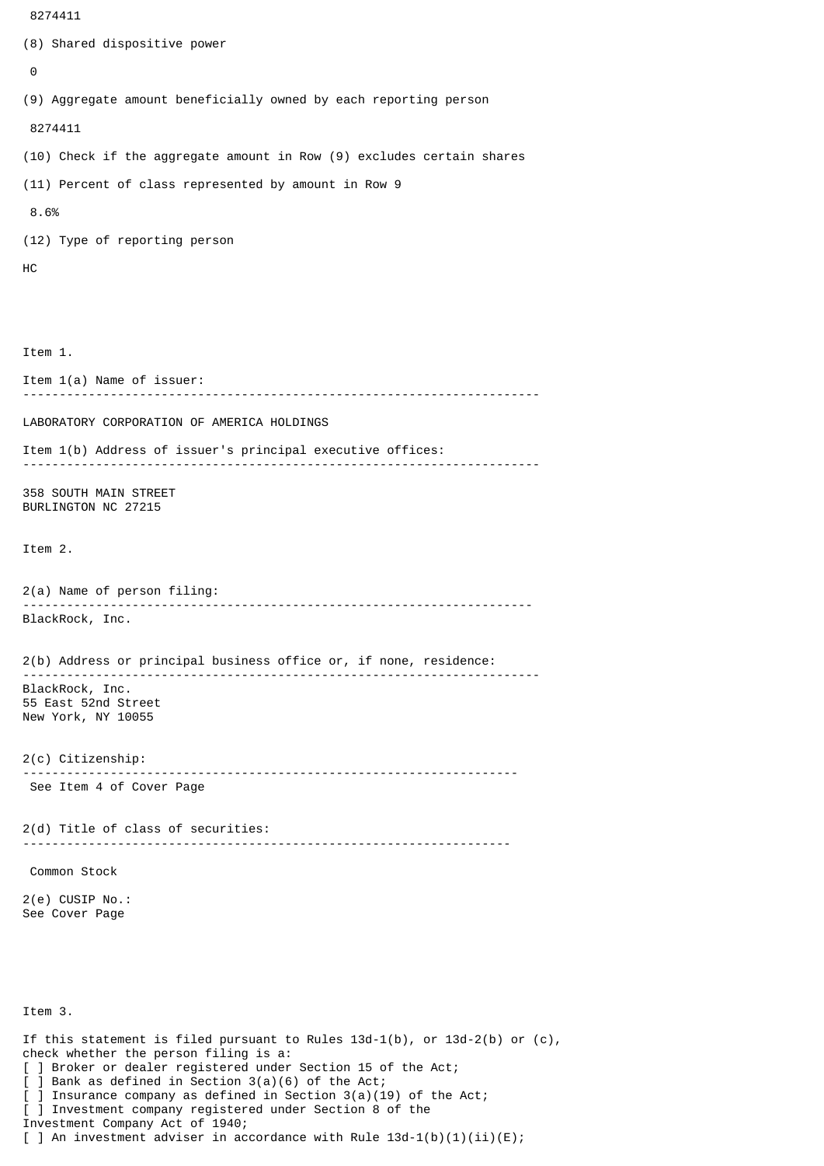```
 8274411
(8) Shared dispositive power
 \boldsymbol{\Theta}(9) Aggregate amount beneficially owned by each reporting person
  8274411
(10) Check if the aggregate amount in Row (9) excludes certain shares
(11) Percent of class represented by amount in Row 9
  8.6%
(12) Type of reporting person
HC
Item 1.
Item 1(a) Name of issuer:
                                         -----------------------------------------------------------------------
LABORATORY CORPORATION OF AMERICA HOLDINGS
Item 1(b) Address of issuer's principal executive offices:
 -----------------------------------------------------------------------
358 SOUTH MAIN STREET
BURLINGTON NC 27215
Item 2.
2(a) Name of person filing:
                ----------------------------------------------------------------------
BlackRock, Inc.
2(b) Address or principal business office or, if none, residence:
 -----------------------------------------------------------------------
BlackRock, Inc.
55 East 52nd Street
New York, NY 10055
2(c) Citizenship:
                              --------------------------------------------------------------------
  See Item 4 of Cover Page
2(d) Title of class of securities:
                                         -------------------------------------------------------------------
  Common Stock
2(e) CUSIP No.:
See Cover Page
Item 3.
If this statement is filed pursuant to Rules 13d-1(b), or 13d-2(b) or (c),
```
check whether the person filing is a:

- [ ] Broker or dealer registered under Section 15 of the Act;
- [ ] Bank as defined in Section 3(a)(6) of the Act;
- ] Insurance company as defined in Section  $3(a)(19)$  of the Act;
- [ ] Investment company registered under Section 8 of the
- Investment Company Act of 1940;
- [ ] An investment adviser in accordance with Rule  $13d-1(b)(1)(ii)(E)$ ;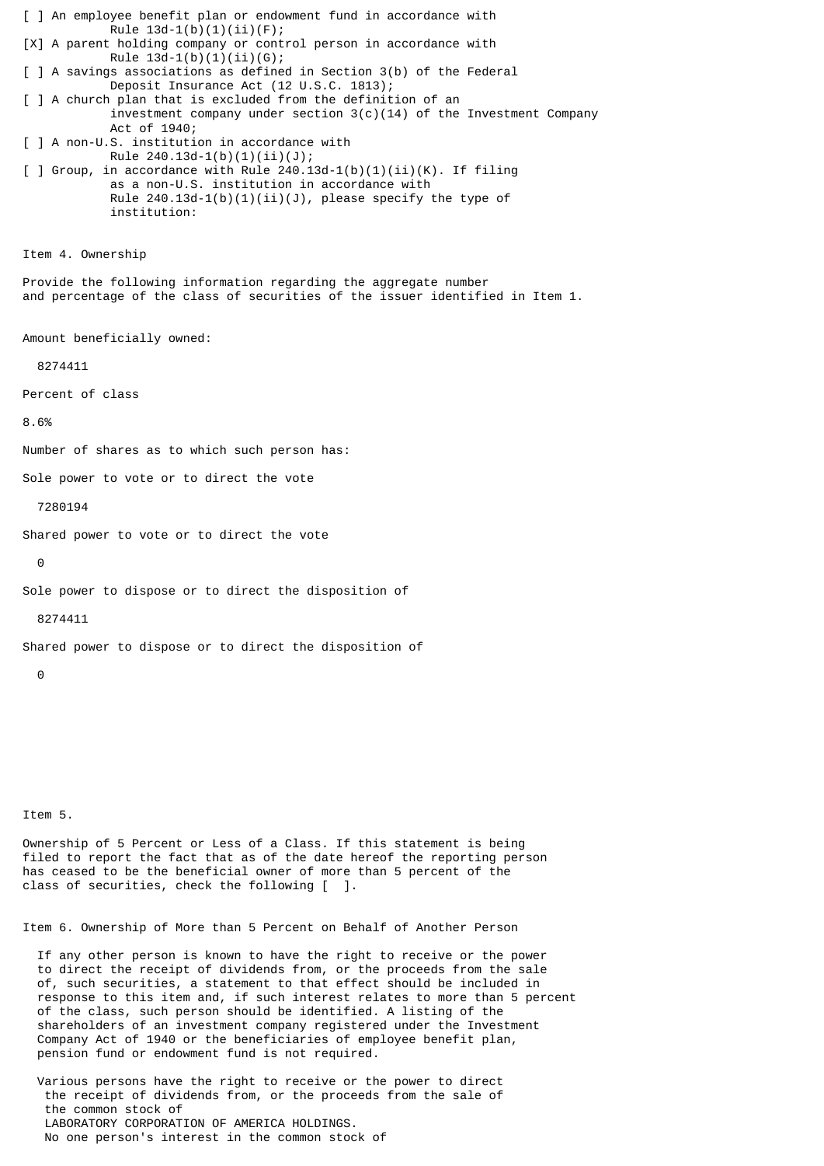[ ] An employee benefit plan or endowment fund in accordance with Rule  $13d-1(b)(1)(ii)(F);$ [X] A parent holding company or control person in accordance with Rule  $13d-1(b)(1)(ii)(G);$ [ ] A savings associations as defined in Section 3(b) of the Federal Deposit Insurance Act (12 U.S.C. 1813); [ ] A church plan that is excluded from the definition of an investment company under section  $3(c)(14)$  of the Investment Company Act of 1940; [ ] A non-U.S. institution in accordance with Rule 240.13d-1(b)(1)(ii)(J);  $\lceil$  ] Group, in accordance with Rule 240.13d-1(b)(1)(ii)(K). If filing as a non-U.S. institution in accordance with Rule  $240.13d-1(b)(1)(ii)(J)$ , please specify the type of institution: Item 4. Ownership Provide the following information regarding the aggregate number and percentage of the class of securities of the issuer identified in Item 1. Amount beneficially owned: 8274411 Percent of class 8.6% Number of shares as to which such person has: Sole power to vote or to direct the vote 7280194 Shared power to vote or to direct the vote  $\Theta$ Sole power to dispose or to direct the disposition of 8274411 Shared power to dispose or to direct the disposition of  $\Omega$ 

Item 5.

Ownership of 5 Percent or Less of a Class. If this statement is being filed to report the fact that as of the date hereof the reporting person has ceased to be the beneficial owner of more than 5 percent of the class of securities, check the following [ ].

Item 6. Ownership of More than 5 Percent on Behalf of Another Person

 If any other person is known to have the right to receive or the power to direct the receipt of dividends from, or the proceeds from the sale of, such securities, a statement to that effect should be included in response to this item and, if such interest relates to more than 5 percent of the class, such person should be identified. A listing of the shareholders of an investment company registered under the Investment Company Act of 1940 or the beneficiaries of employee benefit plan, pension fund or endowment fund is not required.

 Various persons have the right to receive or the power to direct the receipt of dividends from, or the proceeds from the sale of the common stock of LABORATORY CORPORATION OF AMERICA HOLDINGS. No one person's interest in the common stock of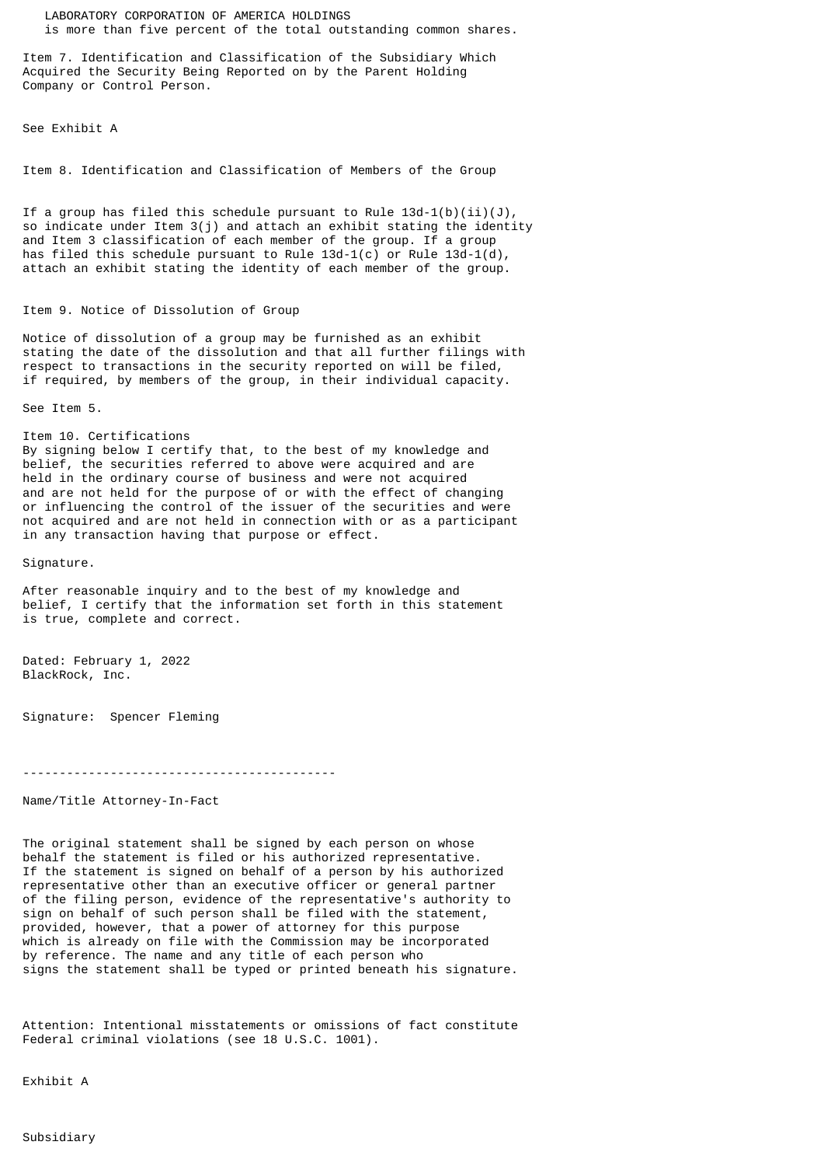LABORATORY CORPORATION OF AMERICA HOLDINGS is more than five percent of the total outstanding common shares.

Item 7. Identification and Classification of the Subsidiary Which Acquired the Security Being Reported on by the Parent Holding Company or Control Person.

See Exhibit A

Item 8. Identification and Classification of Members of the Group

If a group has filed this schedule pursuant to Rule  $13d-1(b)(ii)(J)$ , so indicate under Item 3(j) and attach an exhibit stating the identity and Item 3 classification of each member of the group. If a group has filed this schedule pursuant to Rule  $13d-1(c)$  or Rule  $13d-1(d)$ , attach an exhibit stating the identity of each member of the group.

## Item 9. Notice of Dissolution of Group

Notice of dissolution of a group may be furnished as an exhibit stating the date of the dissolution and that all further filings with respect to transactions in the security reported on will be filed, if required, by members of the group, in their individual capacity.

See Item 5.

Item 10. Certifications By signing below I certify that, to the best of my knowledge and belief, the securities referred to above were acquired and are held in the ordinary course of business and were not acquired and are not held for the purpose of or with the effect of changing or influencing the control of the issuer of the securities and were not acquired and are not held in connection with or as a participant in any transaction having that purpose or effect.

Signature.

After reasonable inquiry and to the best of my knowledge and belief, I certify that the information set forth in this statement is true, complete and correct.

Dated: February 1, 2022 BlackRock, Inc.

Signature: Spencer Fleming

-------------------------------------------

Name/Title Attorney-In-Fact

The original statement shall be signed by each person on whose behalf the statement is filed or his authorized representative. If the statement is signed on behalf of a person by his authorized representative other than an executive officer or general partner of the filing person, evidence of the representative's authority to sign on behalf of such person shall be filed with the statement, provided, however, that a power of attorney for this purpose which is already on file with the Commission may be incorporated by reference. The name and any title of each person who signs the statement shall be typed or printed beneath his signature.

Attention: Intentional misstatements or omissions of fact constitute Federal criminal violations (see 18 U.S.C. 1001).

Exhibit A